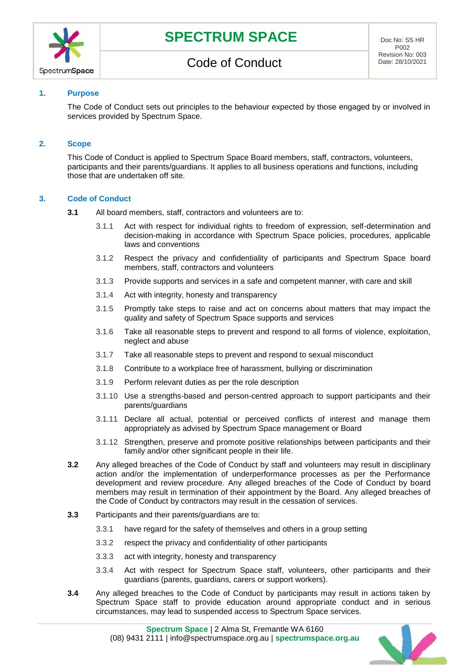

## **1. Purpose**

The Code of Conduct sets out principles to the behaviour expected by those engaged by or involved in services provided by Spectrum Space.

### **2. Scope**

This Code of Conduct is applied to Spectrum Space Board members, staff, contractors, volunteers, participants and their parents/guardians. It applies to all business operations and functions, including those that are undertaken off site.

### **3. Code of Conduct**

- **3.1** All board members, staff, contractors and volunteers are to:
	- 3.1.1 Act with respect for individual rights to freedom of expression, self-determination and decision-making in accordance with Spectrum Space policies, procedures, applicable laws and conventions
	- 3.1.2 Respect the privacy and confidentiality of participants and Spectrum Space board members, staff, contractors and volunteers
	- 3.1.3 Provide supports and services in a safe and competent manner, with care and skill
	- 3.1.4 Act with integrity, honesty and transparency
	- 3.1.5 Promptly take steps to raise and act on concerns about matters that may impact the quality and safety of Spectrum Space supports and services
	- 3.1.6 Take all reasonable steps to prevent and respond to all forms of violence, exploitation, neglect and abuse
	- 3.1.7 Take all reasonable steps to prevent and respond to sexual misconduct
	- 3.1.8 Contribute to a workplace free of harassment, bullying or discrimination
	- 3.1.9 Perform relevant duties as per the role description
	- 3.1.10 Use a strengths-based and person-centred approach to support participants and their parents/guardians
	- 3.1.11 Declare all actual, potential or perceived conflicts of interest and manage them appropriately as advised by Spectrum Space management or Board
	- 3.1.12 Strengthen, preserve and promote positive relationships between participants and their family and/or other significant people in their life.
- **3.2** Any alleged breaches of the Code of Conduct by staff and volunteers may result in disciplinary action and/or the implementation of underperformance processes as per the Performance development and review procedure. Any alleged breaches of the Code of Conduct by board members may result in termination of their appointment by the Board. Any alleged breaches of the Code of Conduct by contractors may result in the cessation of services.
- **3.3** Participants and their parents/guardians are to:
	- 3.3.1 have regard for the safety of themselves and others in a group setting
	- 3.3.2 respect the privacy and confidentiality of other participants
	- 3.3.3 act with integrity, honesty and transparency
	- 3.3.4 Act with respect for Spectrum Space staff, volunteers, other participants and their guardians (parents, guardians, carers or support workers).
- **3.4** Any alleged breaches to the Code of Conduct by participants may result in actions taken by Spectrum Space staff to provide education around appropriate conduct and in serious circumstances, may lead to suspended access to Spectrum Space services.